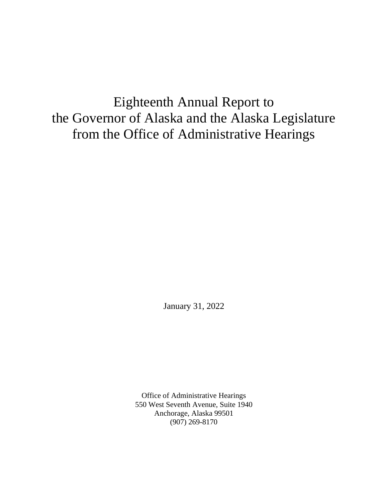# Eighteenth Annual Report to the Governor of Alaska and the Alaska Legislature from the Office of Administrative Hearings

January 31, 2022

Office of Administrative Hearings 550 West Seventh Avenue, Suite 1940 Anchorage, Alaska 99501 (907) 269-8170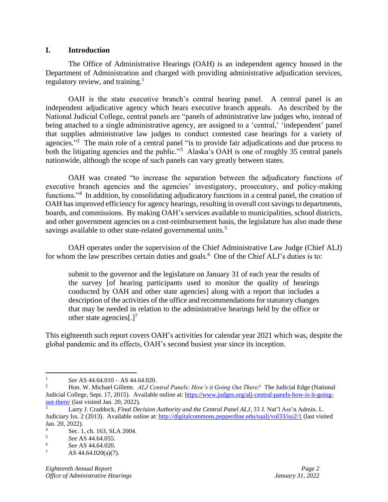#### **I. Introduction**

The Office of Administrative Hearings (OAH) is an independent agency housed in the Department of Administration and charged with providing administrative adjudication services, regulatory review, and training. $<sup>1</sup>$ </sup>

OAH is the state executive branch's central hearing panel. A central panel is an independent adjudicative agency which hears executive branch appeals. As described by the National Judicial College, central panels are "panels of administrative law judges who, instead of being attached to a single administrative agency, are assigned to a 'central,' 'independent' panel that supplies administrative law judges to conduct contested case hearings for a variety of agencies."<sup>2</sup> The main role of a central panel "is to provide fair adjudications and due process to both the litigating agencies and the public."<sup>3</sup> Alaska's OAH is one of roughly 35 central panels nationwide, although the scope of such panels can vary greatly between states.

OAH was created "to increase the separation between the adjudicatory functions of executive branch agencies and the agencies' investigatory, prosecutory, and policy-making functions."<sup>4</sup> In addition, by consolidating adjudicatory functions in a central panel, the creation of OAH has improved efficiency for agency hearings, resulting in overall cost savings to departments, boards, and commissions. By making OAH's services available to municipalities, school districts, and other government agencies on a cost-reimbursement basis, the legislature has also made these savings available to other state-related governmental units.<sup>5</sup>

OAH operates under the supervision of the Chief Administrative Law Judge (Chief ALJ) for whom the law prescribes certain duties and goals.<sup>6</sup> One of the Chief ALJ's duties is to:

submit to the governor and the legislature on January 31 of each year the results of the survey [of hearing participants used to monitor the quality of hearings conducted by OAH and other state agencies] along with a report that includes a description of the activities of the office and recommendations for statutory changes that may be needed in relation to the administrative hearings held by the office or other state agencies[ $.$ ]<sup>7</sup>

This eighteenth such report covers OAH's activities for calendar year 2021 which was, despite the global pandemic and its effects, OAH's second busiest year since its inception.

<sup>&</sup>lt;sup>1</sup> *See* AS 44.64.010 – AS 44.64.020.

<sup>2</sup> Hon. W. Michael Gillette. *ALJ Central Panels: How's it Going Out There?* The Judicial Edge (National Judicial College, Sept. 17, 2015). Available online at[: https://www.judges.org/alj-central-panels-how-is-it-going](https://www.judges.org/alj-central-panels-how-is-it-going-out-there/)[out-there/](https://www.judges.org/alj-central-panels-how-is-it-going-out-there/) (last visited Jan. 20, 2022).

<sup>3</sup> Larry J. Craddock, *Final Decision Authority and the Central Panel ALJ*, 33 J. Nat'l Ass'n Admin. L. Judiciary Iss. 2 (2013). Available online at:<http://digitalcommons.pepperdine.edu/naalj/vol33/iss2/1> (last visited Jan. 20, 2022).

 $\frac{4}{5}$  Sec. 1, ch. 163, SLA 2004.

<sup>5</sup> *See* AS 44.64.055.

 $\frac{6}{7}$  **See AS 44.64.020.** 

AS 44.64.020(a)(7).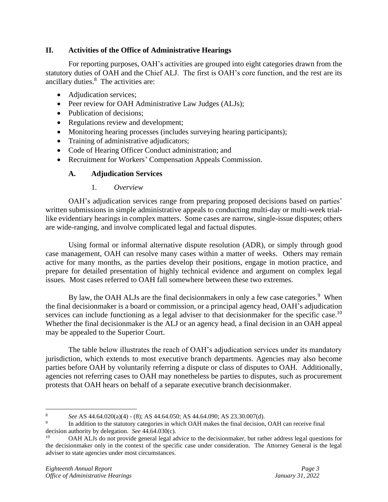# **II. Activities of the Office of Administrative Hearings**

For reporting purposes, OAH's activities are grouped into eight categories drawn from the statutory duties of OAH and the Chief ALJ. The first is OAH's core function, and the rest are its ancillary duties.<sup>8</sup> The activities are:

- Adjudication services;
- Peer review for OAH Administrative Law Judges (ALJs);
- Publication of decisions;
- Regulations review and development;
- Monitoring hearing processes (includes surveying hearing participants);
- Training of administrative adjudicators;
- Code of Hearing Officer Conduct administration; and
- Recruitment for Workers' Compensation Appeals Commission.

# **A. Adjudication Services**

1. *Overview*

OAH's adjudication services range from preparing proposed decisions based on parties' written submissions in simple administrative appeals to conducting multi-day or multi-week triallike evidentiary hearings in complex matters. Some cases are narrow, single-issue disputes; others are wide-ranging, and involve complicated legal and factual disputes.

Using formal or informal alternative dispute resolution (ADR), or simply through good case management, OAH can resolve many cases within a matter of weeks. Others may remain active for many months, as the parties develop their positions, engage in motion practice, and prepare for detailed presentation of highly technical evidence and argument on complex legal issues. Most cases referred to OAH fall somewhere between these two extremes.

By law, the OAH ALJs are the final decision makers in only a few case categories.<sup>9</sup> When the final decisionmaker is a board or commission, or a principal agency head, OAH's adjudication services can include functioning as a legal adviser to that decisionmaker for the specific case.<sup>10</sup> Whether the final decisionmaker is the ALJ or an agency head, a final decision in an OAH appeal may be appealed to the Superior Court.

The table below illustrates the reach of OAH's adjudication services under its mandatory jurisdiction, which extends to most executive branch departments. Agencies may also become parties before OAH by voluntarily referring a dispute or class of disputes to OAH. Additionally, agencies not referring cases to OAH may nonetheless be parties to disputes, such as procurement protests that OAH hears on behalf of a separate executive branch decisionmaker.

<sup>8</sup> *See* AS 44.64.020(a)(4) - (8); AS 44.64.050; AS 44.64.090; AS 23.30.007(d).

<sup>9</sup> In addition to the statutory categories in which OAH makes the final decision, OAH can receive final decision authority by delegation. *See* 44.64.030(c).

<sup>&</sup>lt;sup>10</sup> OAH ALJs do not provide general legal advice to the decisionmaker, but rather address legal questions for the decisionmaker only in the context of the specific case under consideration. The Attorney General is the legal adviser to state agencies under most circumstances.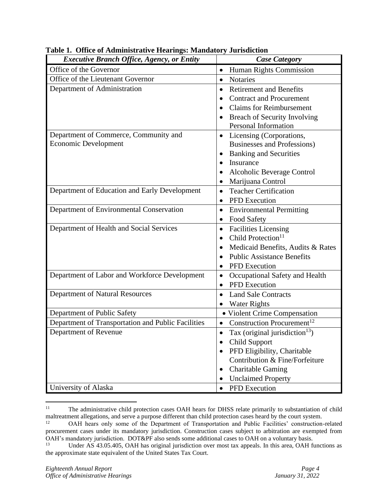| <b>Executive Branch Office, Agency, or Entity</b>                    | <b>Case Category</b>                                                                                                                                                                                              |
|----------------------------------------------------------------------|-------------------------------------------------------------------------------------------------------------------------------------------------------------------------------------------------------------------|
| Office of the Governor                                               | Human Rights Commission<br>$\bullet$                                                                                                                                                                              |
| Office of the Lieutenant Governor                                    | <b>Notaries</b><br>$\bullet$                                                                                                                                                                                      |
| Department of Administration                                         | <b>Retirement and Benefits</b><br>٠<br><b>Contract and Procurement</b><br>$\bullet$<br><b>Claims for Reimbursement</b><br><b>Breach of Security Involving</b><br>Personal Information                             |
| Department of Commerce, Community and<br><b>Economic Development</b> | Licensing (Corporations,<br>$\bullet$<br>Businesses and Professions)<br><b>Banking and Securities</b><br>$\bullet$<br>Insurance<br>$\bullet$<br>Alcoholic Beverage Control<br>٠<br>Marijuana Control<br>$\bullet$ |
| Department of Education and Early Development                        | <b>Teacher Certification</b><br>$\bullet$<br><b>PFD</b> Execution<br>٠                                                                                                                                            |
| Department of Environmental Conservation                             | <b>Environmental Permitting</b><br>٠<br><b>Food Safety</b><br>$\bullet$                                                                                                                                           |
| Department of Health and Social Services                             | <b>Facilities Licensing</b><br>$\bullet$<br>Child Protection <sup>11</sup><br>$\bullet$<br>Medicaid Benefits, Audits & Rates<br><b>Public Assistance Benefits</b><br>$\bullet$<br><b>PFD</b> Execution<br>٠       |
| Department of Labor and Workforce Development                        | Occupational Safety and Health<br>$\bullet$<br><b>PFD</b> Execution<br>$\bullet$                                                                                                                                  |
| Department of Natural Resources                                      | <b>Land Sale Contracts</b><br>$\bullet$<br><b>Water Rights</b>                                                                                                                                                    |
| Department of Public Safety                                          | · Violent Crime Compensation                                                                                                                                                                                      |
| Department of Transportation and Public Facilities                   | Construction Procurement <sup>12</sup><br>$\bullet$                                                                                                                                                               |
| Department of Revenue                                                | Tax (original jurisdiction $13$ )<br>$\bullet$<br><b>Child Support</b><br>PFD Eligibility, Charitable<br>Contribution & Fine/Forfeiture<br><b>Charitable Gaming</b><br>٠<br><b>Unclaimed Property</b><br>٠        |
| University of Alaska                                                 | PFD Execution<br>$\bullet$                                                                                                                                                                                        |

**Table 1. Office of Administrative Hearings: Mandatory Jurisdiction**

<sup>&</sup>lt;sup>11</sup> The administrative child protection cases OAH hears for DHSS relate primarily to substantiation of child maltreatment allegations, and serve a purpose different than child protection cases heard by the court system.

<sup>&</sup>lt;sup>12</sup> OAH hears only some of the Department of Transportation and Public Facilities' construction-related procurement cases under its mandatory jurisdiction. Construction cases subject to arbitration are exempted from OAH's mandatory jurisdiction. DOT&PF also sends some additional cases to OAH on a voluntary basis.<br> $13 \text{ H}$  of  $48.43.05.405$  OAH bas original jurisdiction over most tax appeals. In this area, OAH for

Under AS 43.05.405, OAH has original jurisdiction over most tax appeals. In this area, OAH functions as the approximate state equivalent of the United States Tax Court.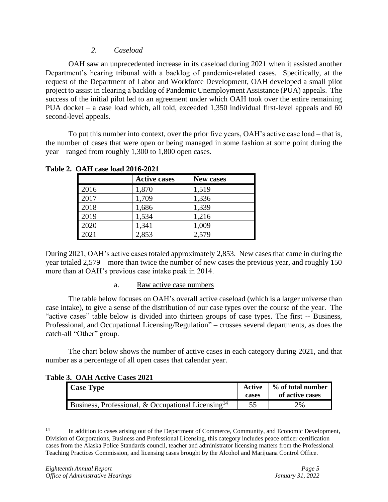#### *2. Caseload*

OAH saw an unprecedented increase in its caseload during 2021 when it assisted another Department's hearing tribunal with a backlog of pandemic-related cases. Specifically, at the request of the Department of Labor and Workforce Development, OAH developed a small pilot project to assist in clearing a backlog of Pandemic Unemployment Assistance (PUA) appeals. The success of the initial pilot led to an agreement under which OAH took over the entire remaining PUA docket – a case load which, all told, exceeded 1,350 individual first-level appeals and 60 second-level appeals.

To put this number into context, over the prior five years, OAH's active case load – that is, the number of cases that were open or being managed in some fashion at some point during the year – ranged from roughly 1,300 to 1,800 open cases.

|      | <b>Active cases</b> | <b>New cases</b> |
|------|---------------------|------------------|
| 2016 | 1,870               | 1,519            |
| 2017 | 1,709               | 1,336            |
| 2018 | 1,686               | 1,339            |
| 2019 | 1,534               | 1,216            |
| 2020 | 1,341               | 1,009            |
| 2021 | 2,853               | 2,579            |

**Table 2. OAH case load 2016-2021**

During 2021, OAH's active cases totaled approximately 2,853. New cases that came in during the year totaled 2,579 – more than twice the number of new cases the previous year, and roughly 150 more than at OAH's previous case intake peak in 2014.

#### a. Raw active case numbers

The table below focuses on OAH's overall active caseload (which is a larger universe than case intake), to give a sense of the distribution of our case types over the course of the year. The "active cases" table below is divided into thirteen groups of case types. The first -- Business, Professional, and Occupational Licensing/Regulation" – crosses several departments, as does the catch-all "Other" group.

The chart below shows the number of active cases in each category during 2021, and that number as a percentage of all open cases that calendar year.

#### **Table 3. OAH Active Cases 2021**

| <b>Case Type</b>                                               | Active<br>cases | ↓ % of total number<br>of active cases |
|----------------------------------------------------------------|-----------------|----------------------------------------|
| Business, Professional, & Occupational Licensing <sup>14</sup> |                 | 2%                                     |

<sup>&</sup>lt;sup>14</sup> In addition to cases arising out of the Department of Commerce, Community, and Economic Development, Division of Corporations, Business and Professional Licensing, this category includes peace officer certification cases from the Alaska Police Standards council, teacher and administrator licensing matters from the Professional Teaching Practices Commission, and licensing cases brought by the Alcohol and Marijuana Control Office.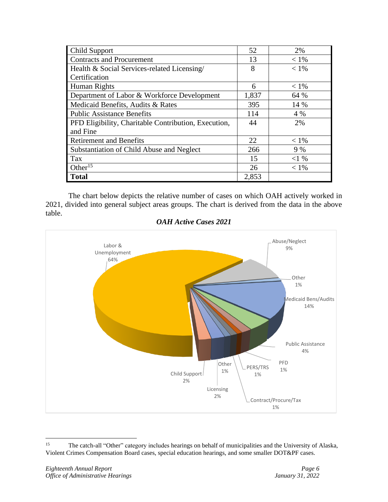| <b>Child Support</b>                                 | 52    | 2%      |
|------------------------------------------------------|-------|---------|
| <b>Contracts and Procurement</b>                     | 13    | $< 1\%$ |
| Health & Social Services-related Licensing/          | 8     | $< 1\%$ |
| Certification                                        |       |         |
| Human Rights                                         | 6     | $< 1\%$ |
| Department of Labor & Workforce Development          | 1,837 | 64 %    |
| Medicaid Benefits, Audits & Rates                    | 395   | 14 %    |
| <b>Public Assistance Benefits</b>                    | 114   | 4 %     |
| PFD Eligibility, Charitable Contribution, Execution, | 44    | 2%      |
| and Fine                                             |       |         |
| <b>Retirement and Benefits</b>                       | 22    | $< 1\%$ |
| Substantiation of Child Abuse and Neglect            | 266   | 9%      |
| Tax                                                  | 15    | <1%     |
| Other <sup>15</sup>                                  | 26    | $< 1\%$ |
| <b>Total</b>                                         | 2,853 |         |

The chart below depicts the relative number of cases on which OAH actively worked in 2021, divided into general subject areas groups. The chart is derived from the data in the above table.



#### *OAH Active Cases 2021*

<sup>&</sup>lt;sup>15</sup> The catch-all "Other" category includes hearings on behalf of municipalities and the University of Alaska, Violent Crimes Compensation Board cases, special education hearings, and some smaller DOT&PF cases.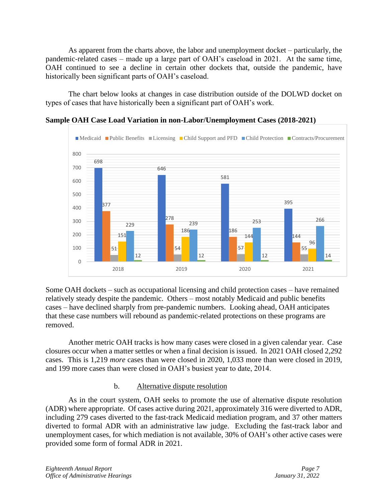As apparent from the charts above, the labor and unemployment docket – particularly, the pandemic-related cases – made up a large part of OAH's caseload in 2021. At the same time, OAH continued to see a decline in certain other dockets that, outside the pandemic, have historically been significant parts of OAH's caseload.

The chart below looks at changes in case distribution outside of the DOLWD docket on types of cases that have historically been a significant part of OAH's work.



**Sample OAH Case Load Variation in non-Labor/Unemployment Cases (2018-2021)**

Some OAH dockets – such as occupational licensing and child protection cases – have remained relatively steady despite the pandemic. Others – most notably Medicaid and public benefits cases – have declined sharply from pre-pandemic numbers. Looking ahead, OAH anticipates that these case numbers will rebound as pandemic-related protections on these programs are removed.

Another metric OAH tracks is how many cases were closed in a given calendar year. Case closures occur when a matter settles or when a final decision is issued. In 2021 OAH closed 2,292 cases. This is 1,219 *more* cases than were closed in 2020, 1,033 more than were closed in 2019, and 199 more cases than were closed in OAH's busiest year to date, 2014.

# b. Alternative dispute resolution

As in the court system, OAH seeks to promote the use of alternative dispute resolution (ADR) where appropriate. Of cases active during 2021, approximately 316 were diverted to ADR, including 279 cases diverted to the fast-track Medicaid mediation program, and 37 other matters diverted to formal ADR with an administrative law judge. Excluding the fast-track labor and unemployment cases, for which mediation is not available, 30% of OAH's other active cases were provided some form of formal ADR in 2021.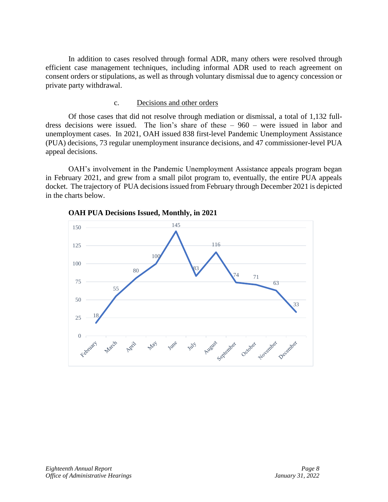In addition to cases resolved through formal ADR, many others were resolved through efficient case management techniques, including informal ADR used to reach agreement on consent orders or stipulations, as well as through voluntary dismissal due to agency concession or private party withdrawal.

#### c. Decisions and other orders

Of those cases that did not resolve through mediation or dismissal, a total of 1,132 fulldress decisions were issued. The lion's share of these – 960 – were issued in labor and unemployment cases. In 2021, OAH issued 838 first-level Pandemic Unemployment Assistance (PUA) decisions, 73 regular unemployment insurance decisions, and 47 commissioner-level PUA appeal decisions.

OAH's involvement in the Pandemic Unemployment Assistance appeals program began in February 2021, and grew from a small pilot program to, eventually, the entire PUA appeals docket. The trajectory of PUA decisions issued from February through December 2021 is depicted in the charts below.



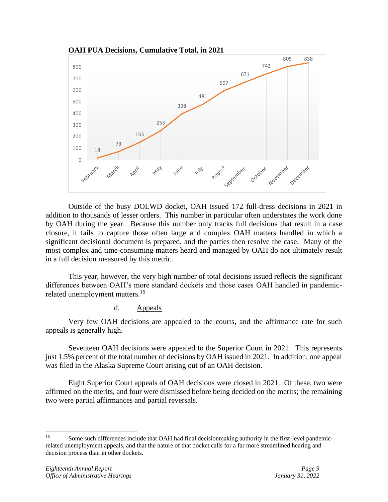

Outside of the busy DOLWD docket, OAH issued 172 full-dress decisions in 2021 in addition to thousands of lesser orders. This number in particular often understates the work done by OAH during the year. Because this number only tracks full decisions that result in a case closure, it fails to capture those often large and complex OAH matters handled in which a significant decisional document is prepared, and the parties then resolve the case. Many of the most complex and time-consuming matters heard and managed by OAH do not ultimately result in a full decision measured by this metric.

This year, however, the very high number of total decisions issued reflects the significant differences between OAH's more standard dockets and those cases OAH handled in pandemicrelated unemployment matters.<sup>16</sup>

#### d. Appeals

Very few OAH decisions are appealed to the courts, and the affirmance rate for such appeals is generally high.

Seventeen OAH decisions were appealed to the Superior Court in 2021. This represents just 1.5% percent of the total number of decisions by OAH issued in 2021. In addition, one appeal was filed in the Alaska Supreme Court arising out of an OAH decision.

Eight Superior Court appeals of OAH decisions were closed in 2021. Of these, two were affirmed on the merits, and four were dismissed before being decided on the merits; the remaining two were partial affirmances and partial reversals.

<sup>&</sup>lt;sup>16</sup> Some such differences include that OAH had final decisionmaking authority in the first-level pandemicrelated unemployment appeals, and that the nature of that docket calls for a far more streamlined hearing and decision process than in other dockets.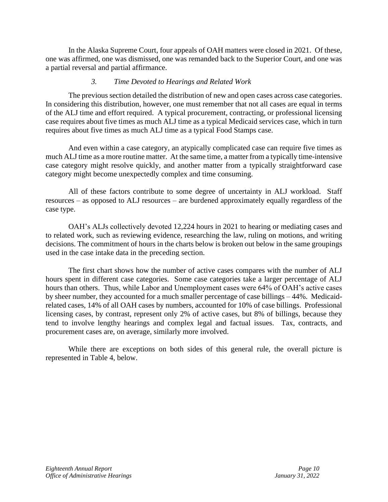In the Alaska Supreme Court, four appeals of OAH matters were closed in 2021. Of these, one was affirmed, one was dismissed, one was remanded back to the Superior Court, and one was a partial reversal and partial affirmance.

#### *3. Time Devoted to Hearings and Related Work*

The previous section detailed the distribution of new and open cases across case categories. In considering this distribution, however, one must remember that not all cases are equal in terms of the ALJ time and effort required. A typical procurement, contracting, or professional licensing case requires about five times as much ALJ time as a typical Medicaid services case, which in turn requires about five times as much ALJ time as a typical Food Stamps case.

And even within a case category, an atypically complicated case can require five times as much ALJ time as a more routine matter. At the same time, a matter from a typically time-intensive case category might resolve quickly, and another matter from a typically straightforward case category might become unexpectedly complex and time consuming.

All of these factors contribute to some degree of uncertainty in ALJ workload. Staff resources – as opposed to ALJ resources – are burdened approximately equally regardless of the case type.

OAH's ALJs collectively devoted 12,224 hours in 2021 to hearing or mediating cases and to related work, such as reviewing evidence, researching the law, ruling on motions, and writing decisions. The commitment of hours in the charts below is broken out below in the same groupings used in the case intake data in the preceding section.

The first chart shows how the number of active cases compares with the number of ALJ hours spent in different case categories. Some case categories take a larger percentage of ALJ hours than others. Thus, while Labor and Unemployment cases were 64% of OAH's active cases by sheer number, they accounted for a much smaller percentage of case billings – 44%. Medicaidrelated cases, 14% of all OAH cases by numbers, accounted for 10% of case billings. Professional licensing cases, by contrast, represent only 2% of active cases, but 8% of billings, because they tend to involve lengthy hearings and complex legal and factual issues. Tax, contracts, and procurement cases are, on average, similarly more involved.

While there are exceptions on both sides of this general rule, the overall picture is represented in Table 4, below.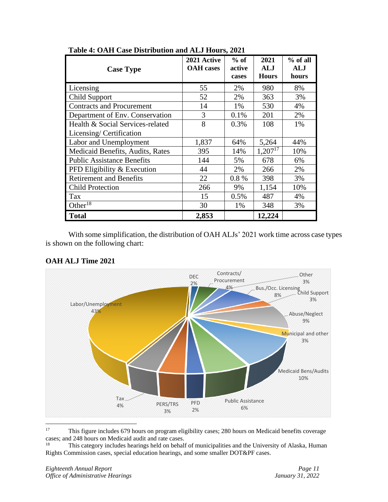| <b>Case Type</b>                  | 2021 Active<br><b>OAH</b> cases | $%$ of<br>active<br>cases | 2021<br>ALJ<br><b>Hours</b> | % of all<br><b>ALJ</b><br>hours |
|-----------------------------------|---------------------------------|---------------------------|-----------------------------|---------------------------------|
| Licensing                         | 55                              | 2%                        | 980                         | 8%                              |
| <b>Child Support</b>              | 52                              | 2%                        | 363                         | 3%                              |
| <b>Contracts and Procurement</b>  | 14                              | 1%                        | 530                         | 4%                              |
| Department of Env. Conservation   | 3                               | 0.1%                      | 201                         | 2%                              |
| Health & Social Services-related  | 8                               | 0.3%                      | 108                         | 1%                              |
| Licensing/Certification           |                                 |                           |                             |                                 |
| Labor and Unemployment            | 1,837                           | 64%                       | 5,264                       | 44%                             |
| Medicaid Benefits, Audits, Rates  | 395                             | 14%                       | $1,207^{17}$                | 10%                             |
| <b>Public Assistance Benefits</b> | 144                             | 5%                        | 678                         | 6%                              |
| PFD Eligibility & Execution       | 44                              | 2%                        | 266                         | 2%                              |
| <b>Retirement and Benefits</b>    | 22                              | 0.8%                      | 398                         | 3%                              |
| <b>Child Protection</b>           | 266                             | 9%                        | 1,154                       | 10%                             |
| Tax                               | 15                              | 0.5%                      | 487                         | 4%                              |
| Other <sup>18</sup>               | 30                              | 1%                        | 348                         | 3%                              |
| <b>Total</b>                      | 2,853                           |                           | 12,224                      |                                 |

**Table 4: OAH Case Distribution and ALJ Hours, 2021**

With some simplification, the distribution of OAH ALJs' 2021 work time across case types is shown on the following chart:



# **OAH ALJ Time 2021**

<sup>&</sup>lt;sup>17</sup> This figure includes 679 hours on program eligibility cases; 280 hours on Medicaid benefits coverage cases; and 248 hours on Medicaid audit and rate cases.

This category includes hearings held on behalf of municipalities and the University of Alaska, Human Rights Commission cases, special education hearings, and some smaller DOT&PF cases.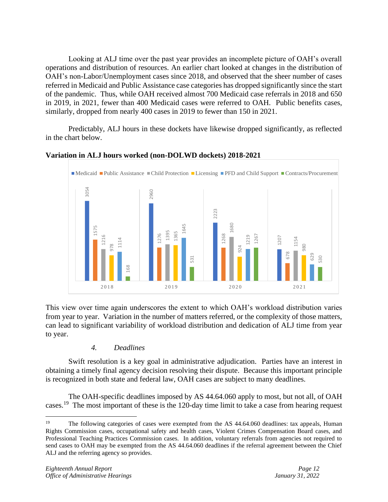Looking at ALJ time over the past year provides an incomplete picture of OAH's overall operations and distribution of resources. An earlier chart looked at changes in the distribution of OAH's non-Labor/Unemployment cases since 2018, and observed that the sheer number of cases referred in Medicaid and Public Assistance case categories has dropped significantly since the start of the pandemic. Thus, while OAH received almost 700 Medicaid case referrals in 2018 and 650 in 2019, in 2021, fewer than 400 Medicaid cases were referred to OAH. Public benefits cases, similarly, dropped from nearly 400 cases in 2019 to fewer than 150 in 2021.

Predictably, ALJ hours in these dockets have likewise dropped significantly, as reflected in the chart below.



#### **Variation in ALJ hours worked (non-DOLWD dockets) 2018-2021**

This view over time again underscores the extent to which OAH's workload distribution varies from year to year. Variation in the number of matters referred, or the complexity of those matters, can lead to significant variability of workload distribution and dedication of ALJ time from year to year.

# *4. Deadlines*

Swift resolution is a key goal in administrative adjudication. Parties have an interest in obtaining a timely final agency decision resolving their dispute. Because this important principle is recognized in both state and federal law, OAH cases are subject to many deadlines.

The OAH-specific deadlines imposed by AS 44.64.060 apply to most, but not all, of OAH cases.<sup>19</sup> The most important of these is the 120-day time limit to take a case from hearing request

<sup>&</sup>lt;sup>19</sup> The following categories of cases were exempted from the AS 44.64.060 deadlines: tax appeals, Human Rights Commission cases, occupational safety and health cases, Violent Crimes Compensation Board cases, and Professional Teaching Practices Commission cases. In addition, voluntary referrals from agencies not required to send cases to OAH may be exempted from the AS 44.64.060 deadlines if the referral agreement between the Chief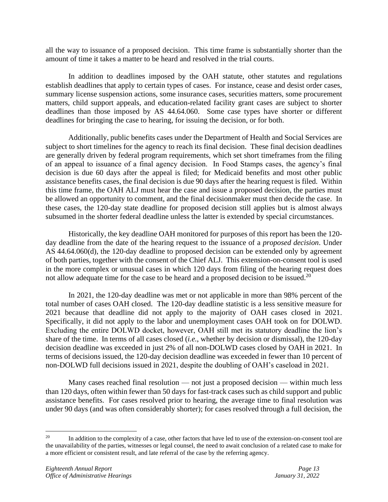all the way to issuance of a proposed decision. This time frame is substantially shorter than the amount of time it takes a matter to be heard and resolved in the trial courts.

In addition to deadlines imposed by the OAH statute, other statutes and regulations establish deadlines that apply to certain types of cases. For instance, cease and desist order cases, summary license suspension actions, some insurance cases, securities matters, some procurement matters, child support appeals, and education-related facility grant cases are subject to shorter deadlines than those imposed by AS 44.64.060. Some case types have shorter or different deadlines for bringing the case to hearing, for issuing the decision, or for both.

Additionally, public benefits cases under the Department of Health and Social Services are subject to short timelines for the agency to reach its final decision. These final decision deadlines are generally driven by federal program requirements, which set short timeframes from the filing of an appeal to issuance of a final agency decision. In Food Stamps cases, the agency's final decision is due 60 days after the appeal is filed; for Medicaid benefits and most other public assistance benefits cases, the final decision is due 90 days after the hearing request is filed. Within this time frame, the OAH ALJ must hear the case and issue a proposed decision, the parties must be allowed an opportunity to comment, and the final decisionmaker must then decide the case. In these cases, the 120-day state deadline for proposed decision still applies but is almost always subsumed in the shorter federal deadline unless the latter is extended by special circumstances.

Historically, the key deadline OAH monitored for purposes of this report has been the 120 day deadline from the date of the hearing request to the issuance of a *proposed decision*. Under AS 44.64.060(d), the 120-day deadline to proposed decision can be extended only by agreement of both parties, together with the consent of the Chief ALJ. This extension-on-consent tool is used in the more complex or unusual cases in which 120 days from filing of the hearing request does not allow adequate time for the case to be heard and a proposed decision to be issued.<sup>20</sup>

In 2021, the 120-day deadline was met or not applicable in more than 98% percent of the total number of cases OAH closed. The 120-day deadline statistic is a less sensitive measure for 2021 because that deadline did not apply to the majority of OAH cases closed in 2021. Specifically, it did not apply to the labor and unemployment cases OAH took on for DOLWD. Excluding the entire DOLWD docket, however, OAH still met its statutory deadline the lion's share of the time. In terms of all cases closed (*i.e.*, whether by decision or dismissal), the 120-day decision deadline was exceeded in just 2% of all non-DOLWD cases closed by OAH in 2021. In terms of decisions issued, the 120-day decision deadline was exceeded in fewer than 10 percent of non-DOLWD full decisions issued in 2021, despite the doubling of OAH's caseload in 2021.

Many cases reached final resolution — not just a proposed decision — within much less than 120 days, often within fewer than 50 days for fast-track cases such as child support and public assistance benefits. For cases resolved prior to hearing, the average time to final resolution was under 90 days (and was often considerably shorter); for cases resolved through a full decision, the

<sup>&</sup>lt;sup>20</sup> In addition to the complexity of a case, other factors that have led to use of the extension-on-consent tool are the unavailability of the parties, witnesses or legal counsel, the need to await conclusion of a related case to make for a more efficient or consistent result, and late referral of the case by the referring agency.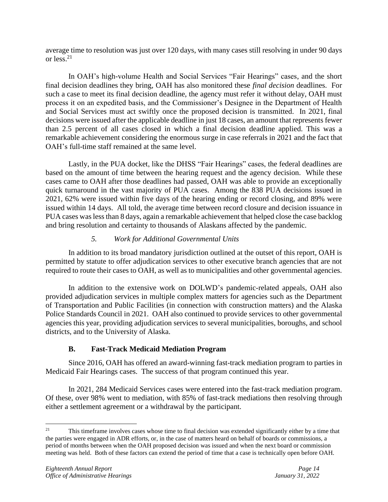average time to resolution was just over 120 days, with many cases still resolving in under 90 days or less. 21

In OAH's high-volume Health and Social Services "Fair Hearings" cases, and the short final decision deadlines they bring, OAH has also monitored these *final decision* deadlines. For such a case to meet its final decision deadline, the agency must refer it without delay, OAH must process it on an expedited basis, and the Commissioner's Designee in the Department of Health and Social Services must act swiftly once the proposed decision is transmitted. In 2021, final decisions were issued after the applicable deadline in just 18 cases, an amount that represents fewer than 2.5 percent of all cases closed in which a final decision deadline applied. This was a remarkable achievement considering the enormous surge in case referrals in 2021 and the fact that OAH's full-time staff remained at the same level.

Lastly, in the PUA docket, like the DHSS "Fair Hearings" cases, the federal deadlines are based on the amount of time between the hearing request and the agency decision. While these cases came to OAH after those deadlines had passed, OAH was able to provide an exceptionally quick turnaround in the vast majority of PUA cases. Among the 838 PUA decisions issued in 2021, 62% were issued within five days of the hearing ending or record closing, and 89% were issued within 14 days. All told, the average time between record closure and decision issuance in PUA cases was less than 8 days, again a remarkable achievement that helped close the case backlog and bring resolution and certainty to thousands of Alaskans affected by the pandemic.

# *5. Work for Additional Governmental Units*

In addition to its broad mandatory jurisdiction outlined at the outset of this report, OAH is permitted by statute to offer adjudication services to other executive branch agencies that are not required to route their cases to OAH, as well as to municipalities and other governmental agencies.

In addition to the extensive work on DOLWD's pandemic-related appeals, OAH also provided adjudication services in multiple complex matters for agencies such as the Department of Transportation and Public Facilities (in connection with construction matters) and the Alaska Police Standards Council in 2021. OAH also continued to provide services to other governmental agencies this year, providing adjudication services to several municipalities, boroughs, and school districts, and to the University of Alaska.

# **B. Fast-Track Medicaid Mediation Program**

Since 2016, OAH has offered an award-winning fast-track mediation program to parties in Medicaid Fair Hearings cases. The success of that program continued this year.

In 2021, 284 Medicaid Services cases were entered into the fast-track mediation program. Of these, over 98% went to mediation, with 85% of fast-track mediations then resolving through either a settlement agreement or a withdrawal by the participant.

<sup>&</sup>lt;sup>21</sup> This timeframe involves cases whose time to final decision was extended significantly either by a time that the parties were engaged in ADR efforts, or, in the case of matters heard on behalf of boards or commissions, a period of months between when the OAH proposed decision was issued and when the next board or commission meeting was held. Both of these factors can extend the period of time that a case is technically open before OAH.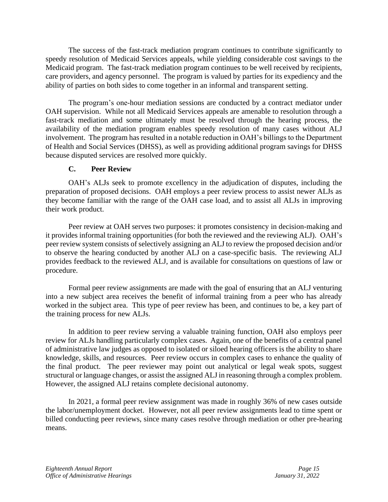The success of the fast-track mediation program continues to contribute significantly to speedy resolution of Medicaid Services appeals, while yielding considerable cost savings to the Medicaid program. The fast-track mediation program continues to be well received by recipients, care providers, and agency personnel. The program is valued by parties for its expediency and the ability of parties on both sides to come together in an informal and transparent setting.

The program's one-hour mediation sessions are conducted by a contract mediator under OAH supervision. While not all Medicaid Services appeals are amenable to resolution through a fast-track mediation and some ultimately must be resolved through the hearing process, the availability of the mediation program enables speedy resolution of many cases without ALJ involvement. The program has resulted in a notable reduction in OAH's billings to the Department of Health and Social Services (DHSS), as well as providing additional program savings for DHSS because disputed services are resolved more quickly.

#### **C. Peer Review**

OAH's ALJs seek to promote excellency in the adjudication of disputes, including the preparation of proposed decisions. OAH employs a peer review process to assist newer ALJs as they become familiar with the range of the OAH case load, and to assist all ALJs in improving their work product.

Peer review at OAH serves two purposes: it promotes consistency in decision-making and it provides informal training opportunities (for both the reviewed and the reviewing ALJ). OAH's peer review system consists of selectively assigning an ALJ to review the proposed decision and/or to observe the hearing conducted by another ALJ on a case-specific basis. The reviewing ALJ provides feedback to the reviewed ALJ, and is available for consultations on questions of law or procedure.

Formal peer review assignments are made with the goal of ensuring that an ALJ venturing into a new subject area receives the benefit of informal training from a peer who has already worked in the subject area. This type of peer review has been, and continues to be, a key part of the training process for new ALJs.

In addition to peer review serving a valuable training function, OAH also employs peer review for ALJs handling particularly complex cases. Again, one of the benefits of a central panel of administrative law judges as opposed to isolated or siloed hearing officers is the ability to share knowledge, skills, and resources. Peer review occurs in complex cases to enhance the quality of the final product. The peer reviewer may point out analytical or legal weak spots, suggest structural or language changes, or assist the assigned ALJ in reasoning through a complex problem. However, the assigned ALJ retains complete decisional autonomy.

In 2021, a formal peer review assignment was made in roughly 36% of new cases outside the labor/unemployment docket. However, not all peer review assignments lead to time spent or billed conducting peer reviews, since many cases resolve through mediation or other pre-hearing means.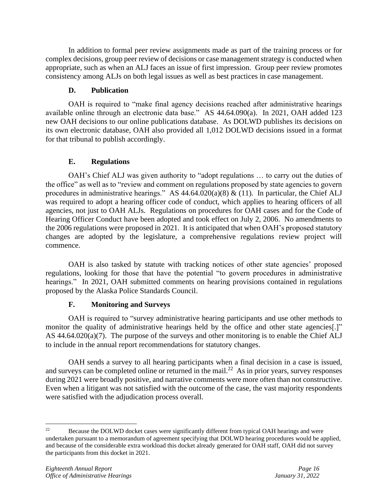In addition to formal peer review assignments made as part of the training process or for complex decisions, group peer review of decisions or case management strategy is conducted when appropriate, such as when an ALJ faces an issue of first impression. Group peer review promotes consistency among ALJs on both legal issues as well as best practices in case management.

# **D. Publication**

OAH is required to "make final agency decisions reached after administrative hearings available online through an electronic data base." AS 44.64.090(a). In 2021, OAH added 123 new OAH decisions to our online publications database. As DOLWD publishes its decisions on its own electronic database, OAH also provided all 1,012 DOLWD decisions issued in a format for that tribunal to publish accordingly.

# **E. Regulations**

OAH's Chief ALJ was given authority to "adopt regulations … to carry out the duties of the office" as well as to "review and comment on regulations proposed by state agencies to govern procedures in administrative hearings." AS  $44.64.020(a)(8) \& (11)$ . In particular, the Chief ALJ was required to adopt a hearing officer code of conduct, which applies to hearing officers of all agencies, not just to OAH ALJs. Regulations on procedures for OAH cases and for the Code of Hearing Officer Conduct have been adopted and took effect on July 2, 2006. No amendments to the 2006 regulations were proposed in 2021. It is anticipated that when OAH's proposed statutory changes are adopted by the legislature, a comprehensive regulations review project will commence.

OAH is also tasked by statute with tracking notices of other state agencies' proposed regulations, looking for those that have the potential "to govern procedures in administrative hearings." In 2021, OAH submitted comments on hearing provisions contained in regulations proposed by the Alaska Police Standards Council.

# **F. Monitoring and Surveys**

OAH is required to "survey administrative hearing participants and use other methods to monitor the quality of administrative hearings held by the office and other state agencies[.]" AS 44.64.020(a)(7). The purpose of the surveys and other monitoring is to enable the Chief ALJ to include in the annual report recommendations for statutory changes.

OAH sends a survey to all hearing participants when a final decision in a case is issued, and surveys can be completed online or returned in the mail.<sup>22</sup> As in prior years, survey responses during 2021 were broadly positive, and narrative comments were more often than not constructive. Even when a litigant was not satisfied with the outcome of the case, the vast majority respondents were satisfied with the adjudication process overall.

<sup>&</sup>lt;sup>22</sup> Because the DOLWD docket cases were significantly different from typical OAH hearings and were undertaken pursuant to a memorandum of agreement specifying that DOLWD hearing procedures would be applied, and because of the considerable extra workload this docket already generated for OAH staff, OAH did not survey the participants from this docket in 2021.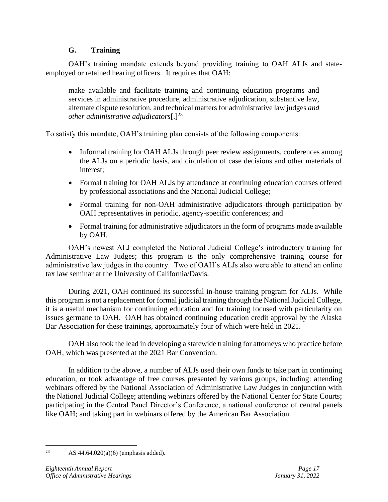# **G. Training**

OAH's training mandate extends beyond providing training to OAH ALJs and stateemployed or retained hearing officers. It requires that OAH:

make available and facilitate training and continuing education programs and services in administrative procedure, administrative adjudication, substantive law, alternate dispute resolution, and technical matters for administrative law judges *and other administrative adjudicators*[.]<sup>23</sup>

To satisfy this mandate, OAH's training plan consists of the following components:

- Informal training for OAH ALJs through peer review assignments, conferences among the ALJs on a periodic basis, and circulation of case decisions and other materials of interest;
- Formal training for OAH ALJs by attendance at continuing education courses offered by professional associations and the National Judicial College;
- Formal training for non-OAH administrative adjudicators through participation by OAH representatives in periodic, agency-specific conferences; and
- Formal training for administrative adjudicators in the form of programs made available by OAH.

OAH's newest ALJ completed the National Judicial College's introductory training for Administrative Law Judges; this program is the only comprehensive training course for administrative law judges in the country. Two of OAH's ALJs also were able to attend an online tax law seminar at the University of California/Davis.

During 2021, OAH continued its successful in-house training program for ALJs. While this program is not a replacement for formal judicial training through the National Judicial College, it is a useful mechanism for continuing education and for training focused with particularity on issues germane to OAH. OAH has obtained continuing education credit approval by the Alaska Bar Association for these trainings, approximately four of which were held in 2021.

OAH also took the lead in developing a statewide training for attorneys who practice before OAH, which was presented at the 2021 Bar Convention.

In addition to the above, a number of ALJs used their own funds to take part in continuing education, or took advantage of free courses presented by various groups, including: attending webinars offered by the National Association of Administrative Law Judges in conjunction with the National Judicial College; attending webinars offered by the National Center for State Courts; participating in the Central Panel Director's Conference, a national conference of central panels like OAH; and taking part in webinars offered by the American Bar Association.

<sup>&</sup>lt;sup>23</sup> AS  $44.64.020(a)(6)$  (emphasis added).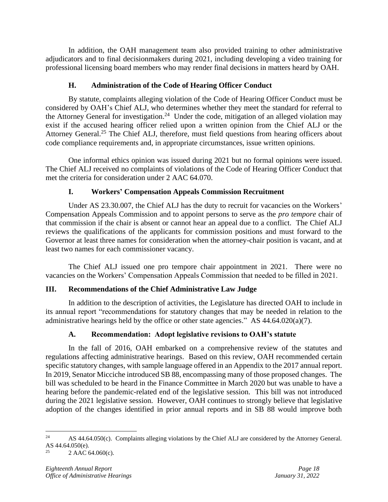In addition, the OAH management team also provided training to other administrative adjudicators and to final decisionmakers during 2021, including developing a video training for professional licensing board members who may render final decisions in matters heard by OAH.

# **H. Administration of the Code of Hearing Officer Conduct**

By statute, complaints alleging violation of the Code of Hearing Officer Conduct must be considered by OAH's Chief ALJ, who determines whether they meet the standard for referral to the Attorney General for investigation.<sup>24</sup> Under the code, mitigation of an alleged violation may exist if the accused hearing officer relied upon a written opinion from the Chief ALJ or the Attorney General.<sup>25</sup> The Chief ALJ, therefore, must field questions from hearing officers about code compliance requirements and, in appropriate circumstances, issue written opinions.

One informal ethics opinion was issued during 2021 but no formal opinions were issued. The Chief ALJ received no complaints of violations of the Code of Hearing Officer Conduct that met the criteria for consideration under 2 AAC 64.070.

# **I. Workers' Compensation Appeals Commission Recruitment**

Under AS 23.30.007, the Chief ALJ has the duty to recruit for vacancies on the Workers' Compensation Appeals Commission and to appoint persons to serve as the *pro tempore* chair of that commission if the chair is absent or cannot hear an appeal due to a conflict. The Chief ALJ reviews the qualifications of the applicants for commission positions and must forward to the Governor at least three names for consideration when the attorney-chair position is vacant, and at least two names for each commissioner vacancy.

The Chief ALJ issued one pro tempore chair appointment in 2021. There were no vacancies on the Workers' Compensation Appeals Commission that needed to be filled in 2021.

# **III. Recommendations of the Chief Administrative Law Judge**

In addition to the description of activities, the Legislature has directed OAH to include in its annual report "recommendations for statutory changes that may be needed in relation to the administrative hearings held by the office or other state agencies." AS 44.64.020(a)(7).

# **A. Recommendation: Adopt legislative revisions to OAH's statute**

In the fall of 2016, OAH embarked on a comprehensive review of the statutes and regulations affecting administrative hearings. Based on this review, OAH recommended certain specific statutory changes, with sample language offered in an Appendix to the 2017 annual report. In 2019, Senator Micciche introduced SB 88, encompassing many of those proposed changes. The bill was scheduled to be heard in the Finance Committee in March 2020 but was unable to have a hearing before the pandemic-related end of the legislative session. This bill was not introduced during the 2021 legislative session. However, OAH continues to strongly believe that legislative adoption of the changes identified in prior annual reports and in SB 88 would improve both

 $24$  AS 44.64.050(c). Complaints alleging violations by the Chief ALJ are considered by the Attorney General. AS 44.64.050(e).

<sup>2</sup> AAC 64.060(c).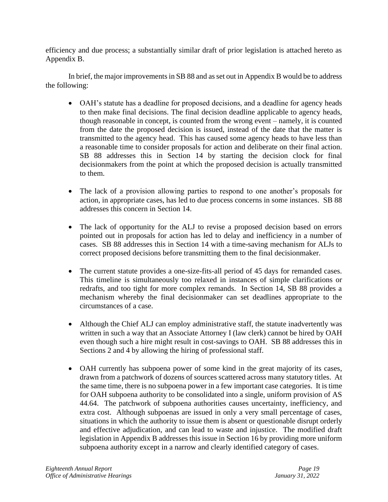efficiency and due process; a substantially similar draft of prior legislation is attached hereto as Appendix B.

In brief, the major improvements in SB 88 and as set out in Appendix B would be to address the following:

- OAH's statute has a deadline for proposed decisions, and a deadline for agency heads to then make final decisions. The final decision deadline applicable to agency heads, though reasonable in concept, is counted from the wrong event – namely, it is counted from the date the proposed decision is issued, instead of the date that the matter is transmitted to the agency head. This has caused some agency heads to have less than a reasonable time to consider proposals for action and deliberate on their final action. SB 88 addresses this in Section 14 by starting the decision clock for final decisionmakers from the point at which the proposed decision is actually transmitted to them.
- The lack of a provision allowing parties to respond to one another's proposals for action, in appropriate cases, has led to due process concerns in some instances. SB 88 addresses this concern in Section 14.
- The lack of opportunity for the ALJ to revise a proposed decision based on errors pointed out in proposals for action has led to delay and inefficiency in a number of cases. SB 88 addresses this in Section 14 with a time-saving mechanism for ALJs to correct proposed decisions before transmitting them to the final decisionmaker.
- The current statute provides a one-size-fits-all period of 45 days for remanded cases. This timeline is simultaneously too relaxed in instances of simple clarifications or redrafts, and too tight for more complex remands. In Section 14, SB 88 provides a mechanism whereby the final decisionmaker can set deadlines appropriate to the circumstances of a case.
- Although the Chief ALJ can employ administrative staff, the statute inadvertently was written in such a way that an Associate Attorney I (law clerk) cannot be hired by OAH even though such a hire might result in cost-savings to OAH. SB 88 addresses this in Sections 2 and 4 by allowing the hiring of professional staff.
- OAH currently has subpoena power of some kind in the great majority of its cases, drawn from a patchwork of dozens of sources scattered across many statutory titles. At the same time, there is no subpoena power in a few important case categories. It is time for OAH subpoena authority to be consolidated into a single, uniform provision of AS 44.64. The patchwork of subpoena authorities causes uncertainty, inefficiency, and extra cost. Although subpoenas are issued in only a very small percentage of cases, situations in which the authority to issue them is absent or questionable disrupt orderly and effective adjudication, and can lead to waste and injustice. The modified draft legislation in Appendix B addresses this issue in Section 16 by providing more uniform subpoena authority except in a narrow and clearly identified category of cases.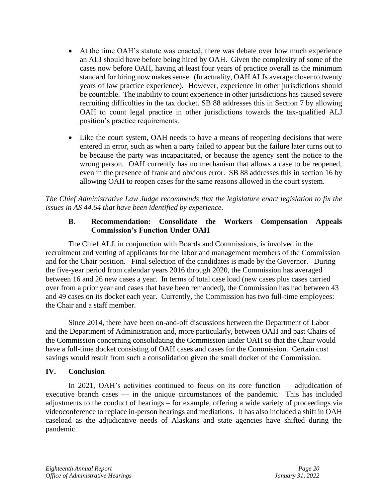- At the time OAH's statute was enacted, there was debate over how much experience an ALJ should have before being hired by OAH. Given the complexity of some of the cases now before OAH, having at least four years of practice overall as the minimum standard for hiring now makes sense. (In actuality, OAH ALJs average closer to twenty years of law practice experience). However, experience in other jurisdictions should be countable. The inability to count experience in other jurisdictions has caused severe recruiting difficulties in the tax docket. SB 88 addresses this in Section 7 by allowing OAH to count legal practice in other jurisdictions towards the tax-qualified ALJ position's practice requirements.
- Like the court system, OAH needs to have a means of reopening decisions that were entered in error, such as when a party failed to appear but the failure later turns out to be because the party was incapacitated, or because the agency sent the notice to the wrong person. OAH currently has no mechanism that allows a case to be reopened, even in the presence of frank and obvious error. SB 88 addresses this in section 16 by allowing OAH to reopen cases for the same reasons allowed in the court system.

*The Chief Administrative Law Judge recommends that the legislature enact legislation to fix the issues in AS 44.64 that have been identified by experience.*

# **B. Recommendation: Consolidate the Workers Compensation Appeals Commission's Function Under OAH**

The Chief ALJ, in conjunction with Boards and Commissions, is involved in the recruitment and vetting of applicants for the labor and management members of the Commission and for the Chair position. Final selection of the candidates is made by the Governor. During the five-year period from calendar years 2016 through 2020, the Commission has averaged between 16 and 26 new cases a year. In terms of total case load (new cases plus cases carried over from a prior year and cases that have been remanded), the Commission has had between 43 and 49 cases on its docket each year. Currently, the Commission has two full-time employees: the Chair and a staff member.

Since 2014, there have been on-and-off discussions between the Department of Labor and the Department of Administration and, more particularly, between OAH and past Chairs of the Commission concerning consolidating the Commission under OAH so that the Chair would have a full-time docket consisting of OAH cases and cases for the Commission. Certain cost savings would result from such a consolidation given the small docket of the Commission.

# **IV. Conclusion**

In 2021, OAH's activities continued to focus on its core function — adjudication of executive branch cases — in the unique circumstances of the pandemic. This has included adjustments to the conduct of hearings – for example, offering a wide variety of proceedings via videoconference to replace in-person hearings and mediations. It has also included a shift in OAH caseload as the adjudicative needs of Alaskans and state agencies have shifted during the pandemic.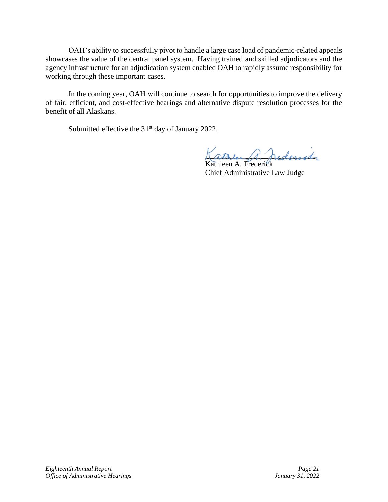OAH's ability to successfully pivot to handle a large case load of pandemic-related appeals showcases the value of the central panel system. Having trained and skilled adjudicators and the agency infrastructure for an adjudication system enabled OAH to rapidly assume responsibility for working through these important cases.

In the coming year, OAH will continue to search for opportunities to improve the delivery of fair, efficient, and cost-effective hearings and alternative dispute resolution processes for the benefit of all Alaskans.

Submitted effective the 31<sup>st</sup> day of January 2022.

Lather 1 hederich

Kathleen A. Frederick Chief Administrative Law Judge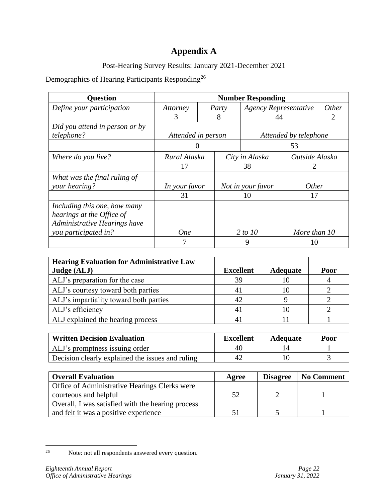# **Appendix A**

Post-Hearing Survey Results: January 2021-December 2021

# Demographics of Hearing Participants Responding<sup>26</sup>

| <b>Question</b>                                                                           | <b>Number Responding</b> |                    |                |                              |                       |                             |
|-------------------------------------------------------------------------------------------|--------------------------|--------------------|----------------|------------------------------|-----------------------|-----------------------------|
| Define your participation                                                                 | Attorney                 |                    | Party          | <b>Agency Representative</b> |                       | <i>Other</i>                |
|                                                                                           | 3                        |                    | 8              | 44                           |                       | $\mathcal{D}_{\mathcal{L}}$ |
| Did you attend in person or by                                                            |                          |                    |                |                              |                       |                             |
| telephone?                                                                                |                          | Attended in person |                |                              | Attended by telephone |                             |
|                                                                                           |                          |                    |                |                              | 53                    |                             |
| Where do you live?                                                                        | Rural Alaska             |                    | City in Alaska |                              | Outside Alaska        |                             |
|                                                                                           | 17                       |                    | 38             |                              | 2                     |                             |
| What was the final ruling of<br>your hearing?                                             | In your favor            |                    |                | Not in your favor            | <i>Other</i>          |                             |
|                                                                                           | 31                       |                    |                | 10                           | 17                    |                             |
| Including this one, how many<br>hearings at the Office of<br>Administrative Hearings have |                          |                    |                |                              |                       |                             |
| you participated in?                                                                      | <b>One</b>               |                    |                | 2 to 10                      | More than 10          |                             |
|                                                                                           |                          |                    |                | 9                            | 10                    |                             |

| <b>Hearing Evaluation for Administrative Law</b> |                  |                 |      |
|--------------------------------------------------|------------------|-----------------|------|
| Judge (ALJ)                                      | <b>Excellent</b> | <b>Adequate</b> | Poor |
| ALJ's preparation for the case                   | 39               |                 |      |
| ALJ's courtesy toward both parties               | 4 I              |                 |      |
| ALJ's impartiality toward both parties           | 42               |                 |      |
| ALJ's efficiency                                 |                  |                 |      |
| ALJ explained the hearing process                |                  |                 |      |

| <b>Written Decision Evaluation</b>               | <b>Excellent</b> | <b>Adequate</b> | Poor |
|--------------------------------------------------|------------------|-----------------|------|
| ALJ's promptness issuing order                   | 40               |                 |      |
| Decision clearly explained the issues and ruling |                  |                 |      |

| <b>Overall Evaluation</b>                         | Agree | <b>Disagree</b> | No Comment |
|---------------------------------------------------|-------|-----------------|------------|
| Office of Administrative Hearings Clerks were     |       |                 |            |
| courteous and helpful                             | 52    |                 |            |
| Overall, I was satisfied with the hearing process |       |                 |            |
| and felt it was a positive experience             | 51    |                 |            |

<sup>&</sup>lt;sup>26</sup> Note: not all respondents answered every question.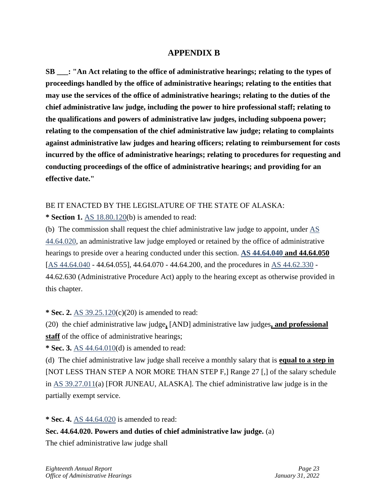# **APPENDIX B**

**SB \_\_\_: "An Act relating to the office of administrative hearings; relating to the types of proceedings handled by the office of administrative hearings; relating to the entities that may use the services of the office of administrative hearings; relating to the duties of the chief administrative law judge, including the power to hire professional staff; relating to the qualifications and powers of administrative law judges, including subpoena power; relating to the compensation of the chief administrative law judge; relating to complaints against administrative law judges and hearing officers; relating to reimbursement for costs incurred by the office of administrative hearings; relating to procedures for requesting and conducting proceedings of the office of administrative hearings; and providing for an effective date."** 

# BE IT ENACTED BY THE LEGISLATURE OF THE STATE OF ALASKA:

**\* Section 1.** [AS 18.80.120\(](http://www.akleg.gov/basis/statutes.asp#18.80.120)b) is amended to read:

(b) The commission shall request the chief administrative law judge to appoint, under [AS](http://www.akleg.gov/basis/statutes.asp#44.64.020)  [44.64.020,](http://www.akleg.gov/basis/statutes.asp#44.64.020) an administrative law judge employed or retained by the office of administrative hearings to preside over a hearing conducted under this section. **[AS 44.64.040](http://www.akleg.gov/basis/statutes.asp#44.64.040) and 44.64.050** [\[AS 44.64.040](http://www.akleg.gov/basis/statutes.asp#44.64.040) - 44.64.055], 44.64.070 - 44.64.200, and the procedures in [AS 44.62.330](http://www.akleg.gov/basis/statutes.asp#44.62.330) -44.62.630 (Administrative Procedure Act) apply to the hearing except as otherwise provided in this chapter.

**\* Sec. 2.** [AS 39.25.120\(](http://www.akleg.gov/basis/statutes.asp#39.25.120)c)(20) is amended to read:

(20) the chief administrative law judge**,** [AND] administrative law judges**, and professional staff** of the office of administrative hearings;

**\* Sec. 3.** [AS 44.64.010\(](http://www.akleg.gov/basis/statutes.asp#44.64.010)d) is amended to read:

(d) The chief administrative law judge shall receive a monthly salary that is **equal to a step in** [NOT LESS THAN STEP A NOR MORE THAN STEP F,] Range 27 [,] of the salary schedule in [AS 39.27.011\(](http://www.akleg.gov/basis/statutes.asp#39.27.011)a) [FOR JUNEAU, ALASKA]. The chief administrative law judge is in the partially exempt service.

**\* Sec. 4.** [AS 44.64.020](http://www.akleg.gov/basis/statutes.asp#44.64.020) is amended to read:

**Sec. 44.64.020. Powers and duties of chief administrative law judge.** (a)

The chief administrative law judge shall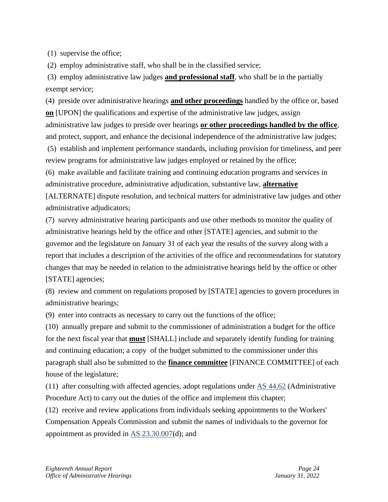(1) supervise the office;

(2) employ administrative staff, who shall be in the classified service;

(3) employ administrative law judges **and professional staff**, who shall be in the partially exempt service;

(4) preside over administrative hearings **and other proceedings** handled by the office or, based **on** [UPON] the qualifications and expertise of the administrative law judges, assign administrative law judges to preside over hearings **or other proceedings handled by the office**, and protect, support, and enhance the decisional independence of the administrative law judges;

(5) establish and implement performance standards, including provision for timeliness, and peer review programs for administrative law judges employed or retained by the office;

(6) make available and facilitate training and continuing education programs and services in administrative procedure, administrative adjudication, substantive law, **alternative** [ALTERNATE] dispute resolution, and technical matters for administrative law judges and other administrative adjudicators;

(7) survey administrative hearing participants and use other methods to monitor the quality of administrative hearings held by the office and other [STATE] agencies, and submit to the governor and the legislature on January 31 of each year the results of the survey along with a report that includes a description of the activities of the office and recommendations for statutory changes that may be needed in relation to the administrative hearings held by the office or other [STATE] agencies;

(8) review and comment on regulations proposed by [STATE] agencies to govern procedures in administrative hearings;

(9) enter into contracts as necessary to carry out the functions of the office;

(10) annually prepare and submit to the commissioner of administration a budget for the office for the next fiscal year that **must** [SHALL] include and separately identify funding for training and continuing education; a copy of the budget submitted to the commissioner under this paragraph shall also be submitted to the **finance committee** [FINANCE COMMITTEE] of each house of the legislature;

(11) after consulting with affected agencies, adopt regulations under [AS 44.62](http://www.akleg.gov/basis/statutes.asp#44.62) (Administrative Procedure Act) to carry out the duties of the office and implement this chapter;

(12) receive and review applications from individuals seeking appointments to the Workers' Compensation Appeals Commission and submit the names of individuals to the governor for appointment as provided in [AS 23.30.007\(](http://www.akleg.gov/basis/statutes.asp#23.30.007)d); and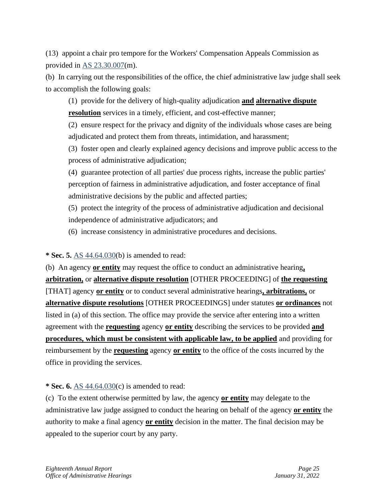(13) appoint a chair pro tempore for the Workers' Compensation Appeals Commission as provided in [AS 23.30.007\(](http://www.akleg.gov/basis/statutes.asp#23.30.007)m).

(b) In carrying out the responsibilities of the office, the chief administrative law judge shall seek to accomplish the following goals:

(1) provide for the delivery of high-quality adjudication **and alternative dispute resolution** services in a timely, efficient, and cost-effective manner;

(2) ensure respect for the privacy and dignity of the individuals whose cases are being adjudicated and protect them from threats, intimidation, and harassment;

(3) foster open and clearly explained agency decisions and improve public access to the process of administrative adjudication;

(4) guarantee protection of all parties' due process rights, increase the public parties' perception of fairness in administrative adjudication, and foster acceptance of final administrative decisions by the public and affected parties;

(5) protect the integrity of the process of administrative adjudication and decisional independence of administrative adjudicators; and

(6) increase consistency in administrative procedures and decisions.

**\* Sec. 5.** [AS 44.64.030\(](http://www.akleg.gov/basis/statutes.asp#44.64.030)b) is amended to read:

(b) An agency **or entity** may request the office to conduct an administrative hearing**, arbitration,** or **alternative dispute resolution** [OTHER PROCEEDING] of **the requesting** [THAT] agency **or entity** or to conduct several administrative hearings**, arbitrations,** or **alternative dispute resolutions** [OTHER PROCEEDINGS] under statutes **or ordinances** not listed in (a) of this section. The office may provide the service after entering into a written agreement with the **requesting** agency **or entity** describing the services to be provided **and procedures, which must be consistent with applicable law, to be applied** and providing for reimbursement by the **requesting** agency **or entity** to the office of the costs incurred by the office in providing the services.

**\* Sec. 6.** [AS 44.64.030\(](http://www.akleg.gov/basis/statutes.asp#44.64.030)c) is amended to read:

(c) To the extent otherwise permitted by law, the agency **or entity** may delegate to the administrative law judge assigned to conduct the hearing on behalf of the agency **or entity** the authority to make a final agency **or entity** decision in the matter. The final decision may be appealed to the superior court by any party.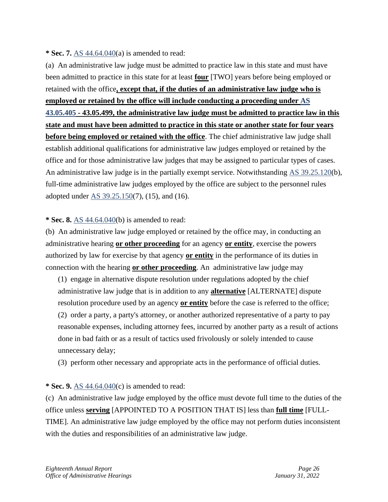#### **\* Sec. 7.** [AS 44.64.040\(](http://www.akleg.gov/basis/statutes.asp#44.64.040)a) is amended to read:

(a) An administrative law judge must be admitted to practice law in this state and must have been admitted to practice in this state for at least **four** [TWO] years before being employed or retained with the office**, except that, if the duties of an administrative law judge who is employed or retained by the office will include conducting a proceeding under [AS](http://www.akleg.gov/basis/statutes.asp#43.05.405)  [43.05.405](http://www.akleg.gov/basis/statutes.asp#43.05.405) - 43.05.499, the administrative law judge must be admitted to practice law in this state and must have been admitted to practice in this state or another state for four years before being employed or retained with the office**. The chief administrative law judge shall establish additional qualifications for administrative law judges employed or retained by the office and for those administrative law judges that may be assigned to particular types of cases. An administrative law judge is in the partially exempt service. Notwithstanding [AS 39.25.120\(](http://www.akleg.gov/basis/statutes.asp#39.25.120)b), full-time administrative law judges employed by the office are subject to the personnel rules adopted under [AS 39.25.150\(](http://www.akleg.gov/basis/statutes.asp#39.25.150)7), (15), and (16).

#### **\* Sec. 8.** [AS 44.64.040\(](http://www.akleg.gov/basis/statutes.asp#44.64.040)b) is amended to read:

(b) An administrative law judge employed or retained by the office may, in conducting an administrative hearing **or other proceeding** for an agency **or entity**, exercise the powers authorized by law for exercise by that agency **or entity** in the performance of its duties in connection with the hearing **or other proceeding**. An administrative law judge may

(1) engage in alternative dispute resolution under regulations adopted by the chief administrative law judge that is in addition to any **alternative** [ALTERNATE] dispute resolution procedure used by an agency **or entity** before the case is referred to the office; (2) order a party, a party's attorney, or another authorized representative of a party to pay reasonable expenses, including attorney fees, incurred by another party as a result of actions done in bad faith or as a result of tactics used frivolously or solely intended to cause unnecessary delay;

(3) perform other necessary and appropriate acts in the performance of official duties.

# **\* Sec. 9.** [AS 44.64.040\(](http://www.akleg.gov/basis/statutes.asp#44.64.040)c) is amended to read:

(c) An administrative law judge employed by the office must devote full time to the duties of the office unless **serving** [APPOINTED TO A POSITION THAT IS] less than **full time** [FULL-TIME]. An administrative law judge employed by the office may not perform duties inconsistent with the duties and responsibilities of an administrative law judge.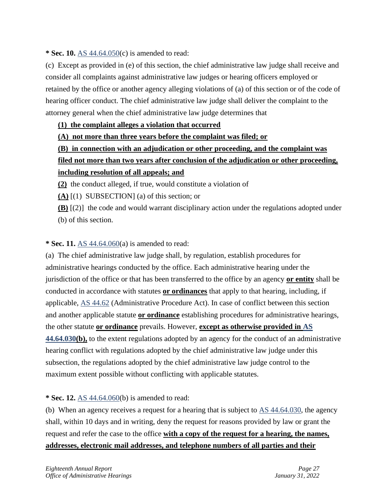**\* Sec. 10.** [AS 44.64.050\(](http://www.akleg.gov/basis/statutes.asp#44.64.050)c) is amended to read:

(c) Except as provided in (e) of this section, the chief administrative law judge shall receive and consider all complaints against administrative law judges or hearing officers employed or retained by the office or another agency alleging violations of (a) of this section or of the code of hearing officer conduct. The chief administrative law judge shall deliver the complaint to the attorney general when the chief administrative law judge determines that

# **(1) the complaint alleges a violation that occurred**

**(A) not more than three years before the complaint was filed; or**

# **(B) in connection with an adjudication or other proceeding, and the complaint was filed not more than two years after conclusion of the adjudication or other proceeding, including resolution of all appeals; and**

**(2)** the conduct alleged, if true, would constitute a violation of

**(A)** [(1) SUBSECTION] (a) of this section; or

**(B)** [(2)] the code and would warrant disciplinary action under the regulations adopted under (b) of this section.

# **\* Sec. 11.** [AS 44.64.060\(](http://www.akleg.gov/basis/statutes.asp#44.64.060)a) is amended to read:

(a) The chief administrative law judge shall, by regulation, establish procedures for administrative hearings conducted by the office. Each administrative hearing under the jurisdiction of the office or that has been transferred to the office by an agency **or entity** shall be conducted in accordance with statutes **or ordinances** that apply to that hearing, including, if applicable, [AS 44.62](http://www.akleg.gov/basis/statutes.asp#44.62) (Administrative Procedure Act). In case of conflict between this section and another applicable statute **or ordinance** establishing procedures for administrative hearings, the other statute **or ordinance** prevails. However, **except as otherwise provided in [AS](http://www.akleg.gov/basis/statutes.asp#44.64.030)  [44.64.030\(](http://www.akleg.gov/basis/statutes.asp#44.64.030)b),** to the extent regulations adopted by an agency for the conduct of an administrative hearing conflict with regulations adopted by the chief administrative law judge under this subsection, the regulations adopted by the chief administrative law judge control to the maximum extent possible without conflicting with applicable statutes.

# **\* Sec. 12.** [AS 44.64.060\(](http://www.akleg.gov/basis/statutes.asp#44.64.060)b) is amended to read:

(b) When an agency receives a request for a hearing that is subject to  $\overline{AS}$  44.64.030, the agency shall, within 10 days and in writing, deny the request for reasons provided by law or grant the request and refer the case to the office **with a copy of the request for a hearing, the names, addresses, electronic mail addresses, and telephone numbers of all parties and their**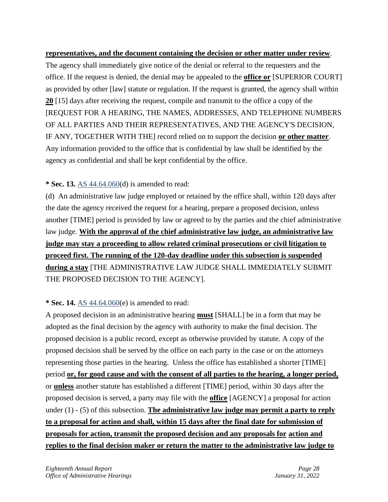**representatives, and the document containing the decision or other matter under review**. The agency shall immediately give notice of the denial or referral to the requesters and the office. If the request is denied, the denial may be appealed to the **office or** [SUPERIOR COURT] as provided by other [law] statute or regulation. If the request is granted, the agency shall within **20** [15] days after receiving the request, compile and transmit to the office a copy of the [REQUEST FOR A HEARING, THE NAMES, ADDRESSES, AND TELEPHONE NUMBERS OF ALL PARTIES AND THEIR REPRESENTATIVES, AND THE AGENCY'S DECISION, IF ANY, TOGETHER WITH THE] record relied on to support the decision **or other matter**. Any information provided to the office that is confidential by law shall be identified by the agency as confidential and shall be kept confidential by the office.

# **\* Sec. 13.** [AS 44.64.060\(](http://www.akleg.gov/basis/statutes.asp#44.64.060)d) is amended to read:

(d) An administrative law judge employed or retained by the office shall, within 120 days after the date the agency received the request for a hearing, prepare a proposed decision, unless another [TIME] period is provided by law or agreed to by the parties and the chief administrative law judge. **With the approval of the chief administrative law judge, an administrative law judge may stay a proceeding to allow related criminal prosecutions or civil litigation to proceed first. The running of the 120-day deadline under this subsection is suspended during a stay** [THE ADMINISTRATIVE LAW JUDGE SHALL IMMEDIATELY SUBMIT THE PROPOSED DECISION TO THE AGENCY].

# **\* Sec. 14.** [AS 44.64.060\(](http://www.akleg.gov/basis/statutes.asp#44.64.060)e) is amended to read:

A proposed decision in an administrative hearing **must** [SHALL] be in a form that may be adopted as the final decision by the agency with authority to make the final decision. The proposed decision is a public record, except as otherwise provided by statute. A copy of the proposed decision shall be served by the office on each party in the case or on the attorneys representing those parties in the hearing. Unless the office has established a shorter [TIME] period **or, for good cause and with the consent of all parties to the hearing, a longer period,** or **unless** another statute has established a different [TIME] period, within 30 days after the proposed decision is served, a party may file with the **office** [AGENCY] a proposal for action under (1) - (5) of this subsection. **The administrative law judge may permit a party to reply to a proposal for action and shall, within 15 days after the final date for submission of proposals for action, transmit the proposed decision and any proposals for action and replies to the final decision maker or return the matter to the administrative law judge to**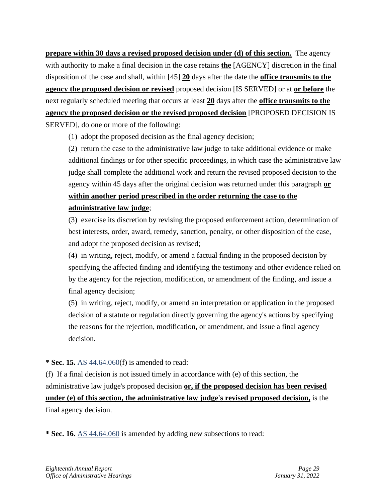**prepare within 30 days a revised proposed decision under (d) of this section.** The agency with authority to make a final decision in the case retains **the** [AGENCY] discretion in the final disposition of the case and shall, within [45] **20** days after the date the **office transmits to the agency the proposed decision or revised** proposed decision [IS SERVED] or at **or before** the next regularly scheduled meeting that occurs at least **20** days after the **office transmits to the agency the proposed decision or the revised proposed decision** [PROPOSED DECISION IS SERVED], do one or more of the following:

(1) adopt the proposed decision as the final agency decision;

(2) return the case to the administrative law judge to take additional evidence or make additional findings or for other specific proceedings, in which case the administrative law judge shall complete the additional work and return the revised proposed decision to the agency within 45 days after the original decision was returned under this paragraph **or within another period prescribed in the order returning the case to the administrative law judge**;

(3) exercise its discretion by revising the proposed enforcement action, determination of best interests, order, award, remedy, sanction, penalty, or other disposition of the case, and adopt the proposed decision as revised;

(4) in writing, reject, modify, or amend a factual finding in the proposed decision by specifying the affected finding and identifying the testimony and other evidence relied on by the agency for the rejection, modification, or amendment of the finding, and issue a final agency decision;

(5) in writing, reject, modify, or amend an interpretation or application in the proposed decision of a statute or regulation directly governing the agency's actions by specifying the reasons for the rejection, modification, or amendment, and issue a final agency decision.

# **\* Sec. 15.** [AS 44.64.060\(](http://www.akleg.gov/basis/statutes.asp#44.64.060)f) is amended to read:

(f) If a final decision is not issued timely in accordance with (e) of this section, the administrative law judge's proposed decision **or, if the proposed decision has been revised under (e) of this section, the administrative law judge's revised proposed decision,** is the final agency decision.

**\* Sec. 16.** [AS 44.64.060](http://www.akleg.gov/basis/statutes.asp#44.64.060) is amended by adding new subsections to read: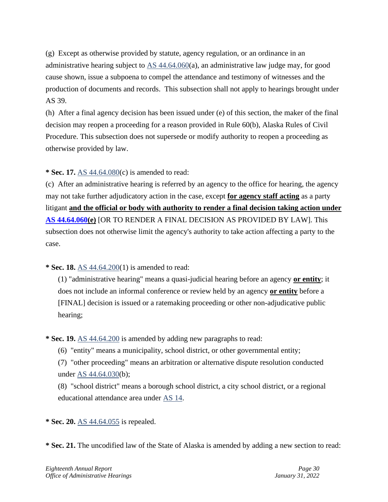(g) Except as otherwise provided by statute, agency regulation, or an ordinance in an administrative hearing subject to [AS 44.64.060\(](http://www.akleg.gov/basis/statutes.asp#44.64.060)a), an administrative law judge may, for good cause shown, issue a subpoena to compel the attendance and testimony of witnesses and the production of documents and records. This subsection shall not apply to hearings brought under AS 39.

(h) After a final agency decision has been issued under (e) of this section, the maker of the final decision may reopen a proceeding for a reason provided in Rule 60(b), Alaska Rules of Civil Procedure. This subsection does not supersede or modify authority to reopen a proceeding as otherwise provided by law.

**\* Sec. 17.** [AS 44.64.080\(](http://www.akleg.gov/basis/statutes.asp#44.64.080)c) is amended to read:

(c) After an administrative hearing is referred by an agency to the office for hearing, the agency may not take further adjudicatory action in the case, except **for agency staff acting** as a party litigant **and the official or body with authority to render a final decision taking action under [AS 44.64.060\(](http://www.akleg.gov/basis/statutes.asp#44.64.060)e)** [OR TO RENDER A FINAL DECISION AS PROVIDED BY LAW]. This subsection does not otherwise limit the agency's authority to take action affecting a party to the case.

**\* Sec. 18.** [AS 44.64.200\(](http://www.akleg.gov/basis/statutes.asp#44.64.200)1) is amended to read:

(1) "administrative hearing" means a quasi-judicial hearing before an agency **or entity**; it does not include an informal conference or review held by an agency **or entity** before a [FINAL] decision is issued or a ratemaking proceeding or other non-adjudicative public hearing;

**\* Sec. 19.** [AS 44.64.200](http://www.akleg.gov/basis/statutes.asp#44.64.200) is amended by adding new paragraphs to read:

(6) "entity" means a municipality, school district, or other governmental entity;

(7) "other proceeding" means an arbitration or alternative dispute resolution conducted under [AS 44.64.030\(](http://www.akleg.gov/basis/statutes.asp#44.64.030)b);

(8) "school district" means a borough school district, a city school district, or a regional educational attendance area under [AS 14.](http://www.akleg.gov/basis/statutes.asp#14)

**\* Sec. 20.** [AS 44.64.055](http://www.akleg.gov/basis/statutes.asp#44.64.055) is repealed.

**\* Sec. 21.** The uncodified law of the State of Alaska is amended by adding a new section to read: